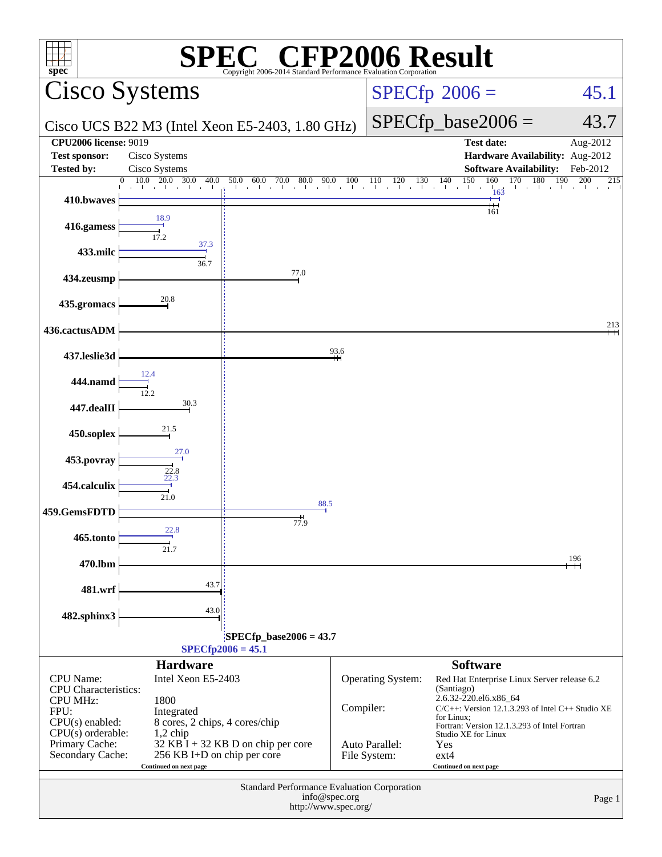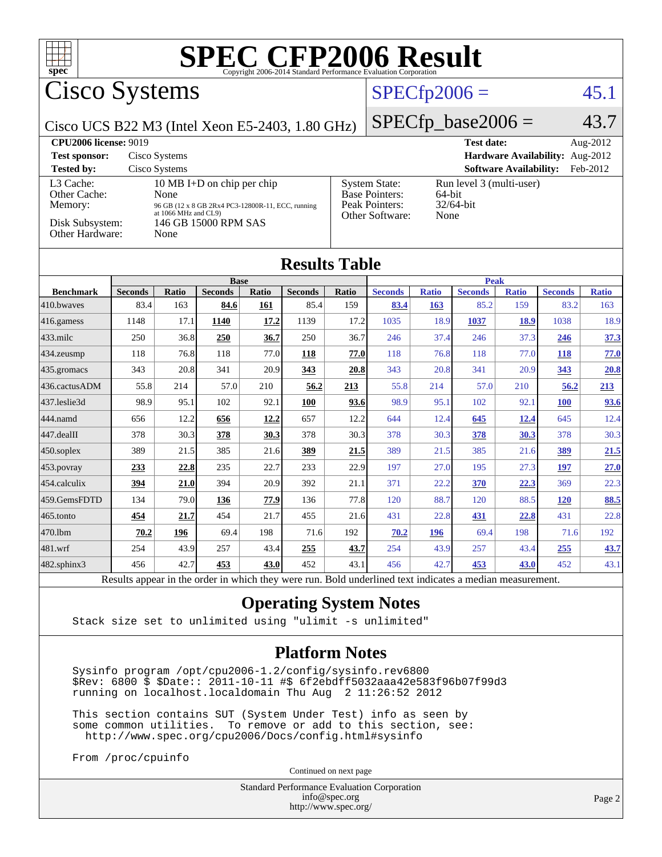

# Cisco Systems

# $SPECfp2006 = 45.1$  $SPECfp2006 = 45.1$

Cisco UCS B22 M3 (Intel Xeon E5-2403, 1.80 GHz)

 $SPECfp\_base2006 = 43.7$ 

| <b>CPU2006 license: 9019</b>                                               |                                                                                                                                                 | <b>Test date:</b><br>Aug- $2012$                                                   |                                                               |
|----------------------------------------------------------------------------|-------------------------------------------------------------------------------------------------------------------------------------------------|------------------------------------------------------------------------------------|---------------------------------------------------------------|
| <b>Test sponsor:</b>                                                       | Cisco Systems                                                                                                                                   | Hardware Availability: Aug-2012                                                    |                                                               |
| <b>Tested by:</b>                                                          | Cisco Systems                                                                                                                                   |                                                                                    | <b>Software Availability:</b><br>Feb-2012                     |
| L3 Cache:<br>Other Cache:<br>Memory:<br>Disk Subsystem:<br>Other Hardware: | 10 MB I+D on chip per chip<br>None<br>96 GB (12 x 8 GB 2Rx4 PC3-12800R-11, ECC, running<br>at 1066 MHz and CL9)<br>146 GB 15000 RPM SAS<br>None | <b>System State:</b><br><b>Base Pointers:</b><br>Peak Pointers:<br>Other Software: | Run level 3 (multi-user)<br>$64$ -bit<br>$32/64$ -bit<br>None |

### **[Results Table](http://www.spec.org/auto/cpu2006/Docs/result-fields.html#ResultsTable)**

|                      | <b>Base</b>    |       |                |       | <b>Peak</b>    |       |                |              |                |              |                |              |
|----------------------|----------------|-------|----------------|-------|----------------|-------|----------------|--------------|----------------|--------------|----------------|--------------|
| <b>Benchmark</b>     | <b>Seconds</b> | Ratio | <b>Seconds</b> | Ratio | <b>Seconds</b> | Ratio | <b>Seconds</b> | <b>Ratio</b> | <b>Seconds</b> | <b>Ratio</b> | <b>Seconds</b> | <b>Ratio</b> |
| 410.bwayes           | 83.4           | 163   | 84.6           | 161   | 85.4           | 159   | 83.4           | 163          | 85.2           | 159          | 83.2           | 163          |
| $ 416$ .gamess       | 1148           | 17.1  | 1140           | 17.2  | 1139           | 17.2  | 1035           | 18.9         | 1037           | <u>18.9</u>  | 1038           | 18.9         |
| $ 433 \text{.}$ milc | 250            | 36.8  | 250            | 36.7  | 250            | 36.7  | 246            | 37.4         | 246            | 37.3         | <b>246</b>     | 37.3         |
| 434.zeusmp           | 118            | 76.8  | 118            | 77.0  | 118            | 77.0  | 118            | 76.8         | 118            | 77.0         | <u>118</u>     | 77.0         |
| $435$ .gromacs       | 343            | 20.8  | 341            | 20.9  | 343            | 20.8  | 343            | 20.8         | 341            | 20.9         | 343            | 20.8         |
| 436.cactusADM        | 55.8           | 214   | 57.0           | 210   | 56.2           | 213   | 55.8           | 214          | 57.0           | 210          | 56.2           | 213          |
| 437.leslie3d         | 98.9           | 95.1  | 102            | 92.1  | <b>100</b>     | 93.6  | 98.9           | 95.1         | 102            | 92.1         | <b>100</b>     | 93.6         |
| 444.namd             | 656            | 12.2  | 656            | 12.2  | 657            | 12.2  | 644            | 12.4         | 645            | <u>12.4</u>  | 645            | 12.4         |
| $447$ .dealII        | 378            | 30.3  | 378            | 30.3  | 378            | 30.3  | 378            | 30.3         | 378            | 30.3         | 378            | 30.3         |
| $ 450$ .soplex       | 389            | 21.5  | 385            | 21.6  | 389            | 21.5  | 389            | 21.5         | 385            | 21.6         | <u>389</u>     | 21.5         |
| $ 453$ . povray      | 233            | 22.8  | 235            | 22.7  | 233            | 22.9  | 197            | 27.0         | 195            | 27.3         | <u>197</u>     | 27.0         |
| 454.calculix         | <u>394</u>     | 21.0  | 394            | 20.9  | 392            | 21.1  | 371            | 22.2         | <b>370</b>     | 22.3         | 369            | 22.3         |
| 459.GemsFDTD         | 134            | 79.0  | 136            | 77.9  | 136            | 77.8  | 120            | 88.7         | 120            | 88.5         | <b>120</b>     | 88.5         |
| $465$ .tonto         | 454            | 21.7  | 454            | 21.7  | 455            | 21.6  | 431            | 22.8         | 431            | 22.8         | 431            | 22.8         |
| 470.lbm              | 70.2           | 196   | 69.4           | 198   | 71.6           | 192   | 70.2           | 196          | 69.4           | 198          | 71.6           | 192          |
| 481.wrf              | 254            | 43.9  | 257            | 43.4  | 255            | 43.7  | 254            | 43.9         | 257            | 43.4         | 255            | 43.7         |
| 482.sphinx3          | 456            | 42.7  | 453            | 43.0  | 452            | 43.1  | 456            | 42.7         | 453            | 43.0         | 452            | 43.1         |

Results appear in the [order in which they were run.](http://www.spec.org/auto/cpu2006/Docs/result-fields.html#RunOrder) Bold underlined text [indicates a median measurement.](http://www.spec.org/auto/cpu2006/Docs/result-fields.html#Median)

### **[Operating System Notes](http://www.spec.org/auto/cpu2006/Docs/result-fields.html#OperatingSystemNotes)**

Stack size set to unlimited using "ulimit -s unlimited"

#### **[Platform Notes](http://www.spec.org/auto/cpu2006/Docs/result-fields.html#PlatformNotes)**

 Sysinfo program /opt/cpu2006-1.2/config/sysinfo.rev6800 \$Rev: 6800 \$ \$Date:: 2011-10-11 #\$ 6f2ebdff5032aaa42e583f96b07f99d3 running on localhost.localdomain Thu Aug 2 11:26:52 2012

 This section contains SUT (System Under Test) info as seen by some common utilities. To remove or add to this section, see: <http://www.spec.org/cpu2006/Docs/config.html#sysinfo>

From /proc/cpuinfo

Continued on next page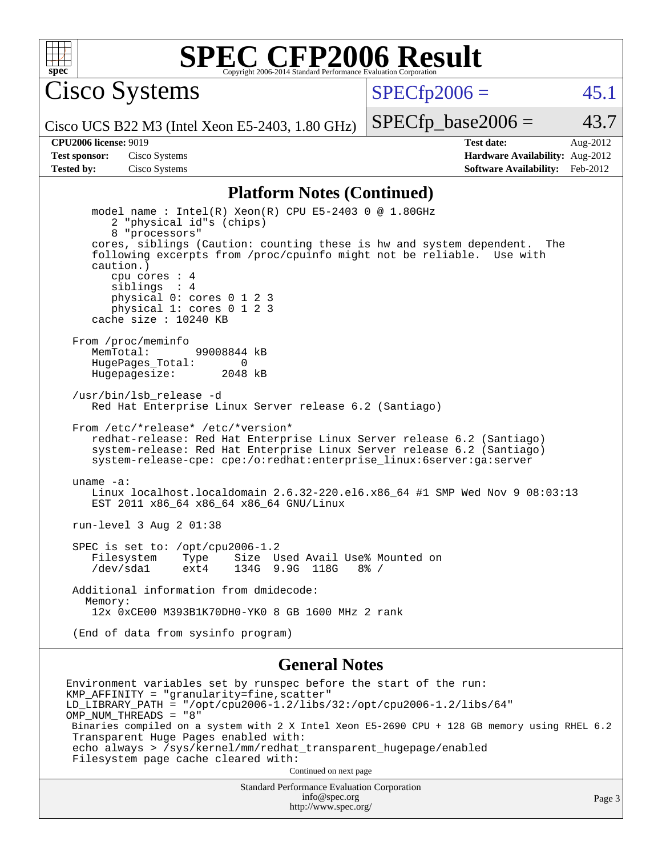

Cisco Systems

 $SPECTp2006 =$  45.1

Cisco UCS B22 M3 (Intel Xeon E5-2403, 1.80 GHz)

 $SPECTp\_base2006 = 43.7$ 

**[CPU2006 license:](http://www.spec.org/auto/cpu2006/Docs/result-fields.html#CPU2006license)** 9019 **[Test date:](http://www.spec.org/auto/cpu2006/Docs/result-fields.html#Testdate)** Aug-2012 **[Test sponsor:](http://www.spec.org/auto/cpu2006/Docs/result-fields.html#Testsponsor)** Cisco Systems **[Hardware Availability:](http://www.spec.org/auto/cpu2006/Docs/result-fields.html#HardwareAvailability)** Aug-2012 **[Tested by:](http://www.spec.org/auto/cpu2006/Docs/result-fields.html#Testedby)** Cisco Systems **[Software Availability:](http://www.spec.org/auto/cpu2006/Docs/result-fields.html#SoftwareAvailability)** Feb-2012

#### **[Platform Notes \(Continued\)](http://www.spec.org/auto/cpu2006/Docs/result-fields.html#PlatformNotes)**

 model name : Intel(R) Xeon(R) CPU E5-2403 0 @ 1.80GHz 2 "physical id"s (chips) 8 "processors" cores, siblings (Caution: counting these is hw and system dependent. The following excerpts from /proc/cpuinfo might not be reliable. Use with caution.) cpu cores : 4 siblings : 4 physical 0: cores 0 1 2 3 physical 1: cores 0 1 2 3 cache size : 10240 KB From /proc/meminfo MemTotal: 99008844 kB HugePages\_Total: 0<br>Hugepagesize: 2048 kB Hugepagesize: /usr/bin/lsb\_release -d Red Hat Enterprise Linux Server release 6.2 (Santiago) From /etc/\*release\* /etc/\*version\* redhat-release: Red Hat Enterprise Linux Server release 6.2 (Santiago) system-release: Red Hat Enterprise Linux Server release 6.2 (Santiago) system-release-cpe: cpe:/o:redhat:enterprise\_linux:6server:ga:server uname -a: Linux localhost.localdomain 2.6.32-220.el6.x86\_64 #1 SMP Wed Nov 9 08:03:13 EST 2011 x86\_64 x86\_64 x86\_64 GNU/Linux run-level 3 Aug 2 01:38 SPEC is set to: /opt/cpu2006-1.2 Filesystem Type Size Used Avail Use% Mounted on /dev/sda1 ext4 134G 9.9G 118G 8% / Additional information from dmidecode: Memory: 12x 0xCE00 M393B1K70DH0-YK0 8 GB 1600 MHz 2 rank (End of data from sysinfo program)

#### **[General Notes](http://www.spec.org/auto/cpu2006/Docs/result-fields.html#GeneralNotes)**

Environment variables set by runspec before the start of the run: KMP\_AFFINITY = "granularity=fine,scatter" LD\_LIBRARY\_PATH = "/opt/cpu2006-1.2/libs/32:/opt/cpu2006-1.2/libs/64" OMP\_NUM\_THREADS = "8" Binaries compiled on a system with 2 X Intel Xeon E5-2690 CPU + 128 GB memory using RHEL 6.2 Transparent Huge Pages enabled with: echo always > /sys/kernel/mm/redhat\_transparent\_hugepage/enabled Filesystem page cache cleared with: Continued on next page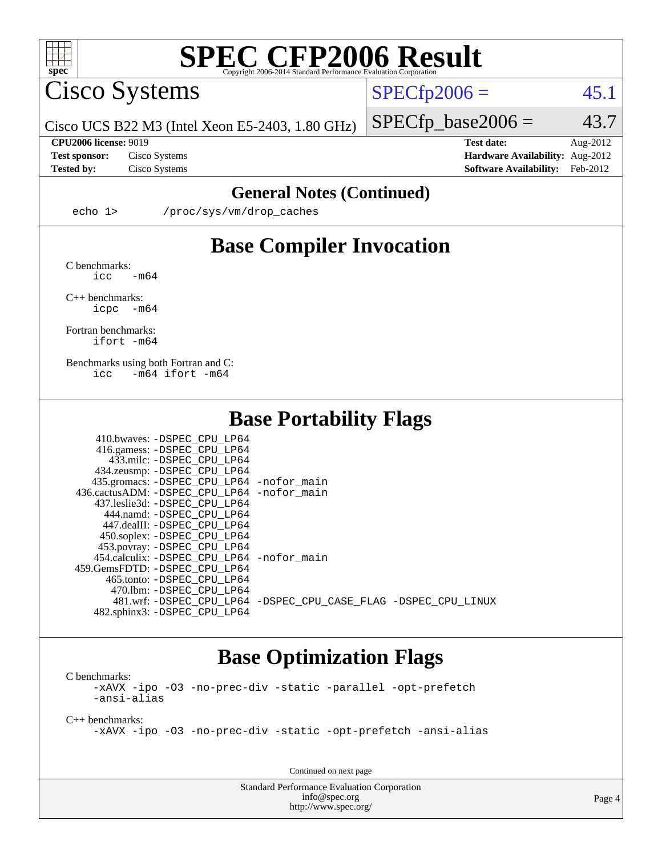

Cisco Systems

 $SPECTp2006 = 45.1$ 

 $SPECTp\_base2006 = 43.7$ 

Cisco UCS B22 M3 (Intel Xeon E5-2403, 1.80 GHz)

**[Tested by:](http://www.spec.org/auto/cpu2006/Docs/result-fields.html#Testedby)** Cisco Systems **[Software Availability:](http://www.spec.org/auto/cpu2006/Docs/result-fields.html#SoftwareAvailability)** Feb-2012

**[CPU2006 license:](http://www.spec.org/auto/cpu2006/Docs/result-fields.html#CPU2006license)** 9019 **[Test date:](http://www.spec.org/auto/cpu2006/Docs/result-fields.html#Testdate)** Aug-2012 **[Test sponsor:](http://www.spec.org/auto/cpu2006/Docs/result-fields.html#Testsponsor)** Cisco Systems **[Hardware Availability:](http://www.spec.org/auto/cpu2006/Docs/result-fields.html#HardwareAvailability)** Aug-2012

### **[General Notes \(Continued\)](http://www.spec.org/auto/cpu2006/Docs/result-fields.html#GeneralNotes)**

echo 1> /proc/sys/vm/drop\_caches

## **[Base Compiler Invocation](http://www.spec.org/auto/cpu2006/Docs/result-fields.html#BaseCompilerInvocation)**

[C benchmarks](http://www.spec.org/auto/cpu2006/Docs/result-fields.html#Cbenchmarks):  $\text{icc}$   $-\text{m64}$ 

[C++ benchmarks:](http://www.spec.org/auto/cpu2006/Docs/result-fields.html#CXXbenchmarks) [icpc -m64](http://www.spec.org/cpu2006/results/res2012q3/cpu2006-20120823-24311.flags.html#user_CXXbase_intel_icpc_64bit_bedb90c1146cab66620883ef4f41a67e)

[Fortran benchmarks](http://www.spec.org/auto/cpu2006/Docs/result-fields.html#Fortranbenchmarks): [ifort -m64](http://www.spec.org/cpu2006/results/res2012q3/cpu2006-20120823-24311.flags.html#user_FCbase_intel_ifort_64bit_ee9d0fb25645d0210d97eb0527dcc06e)

[Benchmarks using both Fortran and C](http://www.spec.org/auto/cpu2006/Docs/result-fields.html#BenchmarksusingbothFortranandC): [icc -m64](http://www.spec.org/cpu2006/results/res2012q3/cpu2006-20120823-24311.flags.html#user_CC_FCbase_intel_icc_64bit_0b7121f5ab7cfabee23d88897260401c) [ifort -m64](http://www.spec.org/cpu2006/results/res2012q3/cpu2006-20120823-24311.flags.html#user_CC_FCbase_intel_ifort_64bit_ee9d0fb25645d0210d97eb0527dcc06e)

### **[Base Portability Flags](http://www.spec.org/auto/cpu2006/Docs/result-fields.html#BasePortabilityFlags)**

| 410.bwaves: -DSPEC CPU LP64                |                                                                |
|--------------------------------------------|----------------------------------------------------------------|
| 416.gamess: -DSPEC_CPU_LP64                |                                                                |
| 433.milc: -DSPEC CPU LP64                  |                                                                |
| 434.zeusmp: -DSPEC_CPU_LP64                |                                                                |
| 435.gromacs: -DSPEC_CPU_LP64 -nofor_main   |                                                                |
| 436.cactusADM: -DSPEC CPU LP64 -nofor main |                                                                |
| 437.leslie3d: -DSPEC CPU LP64              |                                                                |
| 444.namd: -DSPEC CPU LP64                  |                                                                |
| 447.dealII: -DSPEC CPU LP64                |                                                                |
| 450.soplex: -DSPEC_CPU_LP64                |                                                                |
| 453.povray: -DSPEC_CPU_LP64                |                                                                |
| 454.calculix: -DSPEC CPU LP64 -nofor main  |                                                                |
| 459.GemsFDTD: -DSPEC CPU LP64              |                                                                |
| 465.tonto: - DSPEC CPU LP64                |                                                                |
| 470.1bm: - DSPEC CPU LP64                  |                                                                |
|                                            | 481.wrf: -DSPEC CPU_LP64 -DSPEC_CPU_CASE_FLAG -DSPEC_CPU_LINUX |
| 482.sphinx3: -DSPEC CPU LP64               |                                                                |

### **[Base Optimization Flags](http://www.spec.org/auto/cpu2006/Docs/result-fields.html#BaseOptimizationFlags)**

[C benchmarks](http://www.spec.org/auto/cpu2006/Docs/result-fields.html#Cbenchmarks): [-xAVX](http://www.spec.org/cpu2006/results/res2012q3/cpu2006-20120823-24311.flags.html#user_CCbase_f-xAVX) [-ipo](http://www.spec.org/cpu2006/results/res2012q3/cpu2006-20120823-24311.flags.html#user_CCbase_f-ipo) [-O3](http://www.spec.org/cpu2006/results/res2012q3/cpu2006-20120823-24311.flags.html#user_CCbase_f-O3) [-no-prec-div](http://www.spec.org/cpu2006/results/res2012q3/cpu2006-20120823-24311.flags.html#user_CCbase_f-no-prec-div) [-static](http://www.spec.org/cpu2006/results/res2012q3/cpu2006-20120823-24311.flags.html#user_CCbase_f-static) [-parallel](http://www.spec.org/cpu2006/results/res2012q3/cpu2006-20120823-24311.flags.html#user_CCbase_f-parallel) [-opt-prefetch](http://www.spec.org/cpu2006/results/res2012q3/cpu2006-20120823-24311.flags.html#user_CCbase_f-opt-prefetch) [-ansi-alias](http://www.spec.org/cpu2006/results/res2012q3/cpu2006-20120823-24311.flags.html#user_CCbase_f-ansi-alias)

[C++ benchmarks:](http://www.spec.org/auto/cpu2006/Docs/result-fields.html#CXXbenchmarks)

[-xAVX](http://www.spec.org/cpu2006/results/res2012q3/cpu2006-20120823-24311.flags.html#user_CXXbase_f-xAVX) [-ipo](http://www.spec.org/cpu2006/results/res2012q3/cpu2006-20120823-24311.flags.html#user_CXXbase_f-ipo) [-O3](http://www.spec.org/cpu2006/results/res2012q3/cpu2006-20120823-24311.flags.html#user_CXXbase_f-O3) [-no-prec-div](http://www.spec.org/cpu2006/results/res2012q3/cpu2006-20120823-24311.flags.html#user_CXXbase_f-no-prec-div) [-static](http://www.spec.org/cpu2006/results/res2012q3/cpu2006-20120823-24311.flags.html#user_CXXbase_f-static) [-opt-prefetch](http://www.spec.org/cpu2006/results/res2012q3/cpu2006-20120823-24311.flags.html#user_CXXbase_f-opt-prefetch) [-ansi-alias](http://www.spec.org/cpu2006/results/res2012q3/cpu2006-20120823-24311.flags.html#user_CXXbase_f-ansi-alias)

Continued on next page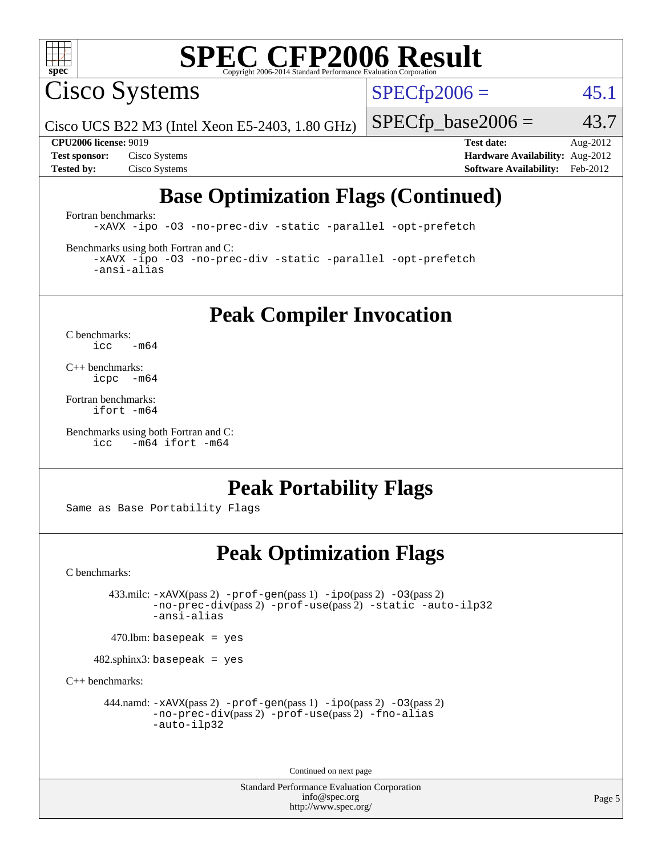

Cisco Systems

 $SPECTp2006 = 45.1$ 

Cisco UCS B22 M3 (Intel Xeon E5-2403, 1.80 GHz)

 $SPECTp\_base2006 = 43.7$ 

**[Tested by:](http://www.spec.org/auto/cpu2006/Docs/result-fields.html#Testedby)** Cisco Systems **[Software Availability:](http://www.spec.org/auto/cpu2006/Docs/result-fields.html#SoftwareAvailability)** Feb-2012

**[CPU2006 license:](http://www.spec.org/auto/cpu2006/Docs/result-fields.html#CPU2006license)** 9019 **[Test date:](http://www.spec.org/auto/cpu2006/Docs/result-fields.html#Testdate)** Aug-2012 **[Test sponsor:](http://www.spec.org/auto/cpu2006/Docs/result-fields.html#Testsponsor)** Cisco Systems **[Hardware Availability:](http://www.spec.org/auto/cpu2006/Docs/result-fields.html#HardwareAvailability)** Aug-2012

# **[Base Optimization Flags \(Continued\)](http://www.spec.org/auto/cpu2006/Docs/result-fields.html#BaseOptimizationFlags)**

[Fortran benchmarks](http://www.spec.org/auto/cpu2006/Docs/result-fields.html#Fortranbenchmarks): [-xAVX](http://www.spec.org/cpu2006/results/res2012q3/cpu2006-20120823-24311.flags.html#user_FCbase_f-xAVX) [-ipo](http://www.spec.org/cpu2006/results/res2012q3/cpu2006-20120823-24311.flags.html#user_FCbase_f-ipo) [-O3](http://www.spec.org/cpu2006/results/res2012q3/cpu2006-20120823-24311.flags.html#user_FCbase_f-O3) [-no-prec-div](http://www.spec.org/cpu2006/results/res2012q3/cpu2006-20120823-24311.flags.html#user_FCbase_f-no-prec-div) [-static](http://www.spec.org/cpu2006/results/res2012q3/cpu2006-20120823-24311.flags.html#user_FCbase_f-static) [-parallel](http://www.spec.org/cpu2006/results/res2012q3/cpu2006-20120823-24311.flags.html#user_FCbase_f-parallel) [-opt-prefetch](http://www.spec.org/cpu2006/results/res2012q3/cpu2006-20120823-24311.flags.html#user_FCbase_f-opt-prefetch)

[Benchmarks using both Fortran and C](http://www.spec.org/auto/cpu2006/Docs/result-fields.html#BenchmarksusingbothFortranandC):

[-xAVX](http://www.spec.org/cpu2006/results/res2012q3/cpu2006-20120823-24311.flags.html#user_CC_FCbase_f-xAVX) [-ipo](http://www.spec.org/cpu2006/results/res2012q3/cpu2006-20120823-24311.flags.html#user_CC_FCbase_f-ipo) [-O3](http://www.spec.org/cpu2006/results/res2012q3/cpu2006-20120823-24311.flags.html#user_CC_FCbase_f-O3) [-no-prec-div](http://www.spec.org/cpu2006/results/res2012q3/cpu2006-20120823-24311.flags.html#user_CC_FCbase_f-no-prec-div) [-static](http://www.spec.org/cpu2006/results/res2012q3/cpu2006-20120823-24311.flags.html#user_CC_FCbase_f-static) [-parallel](http://www.spec.org/cpu2006/results/res2012q3/cpu2006-20120823-24311.flags.html#user_CC_FCbase_f-parallel) [-opt-prefetch](http://www.spec.org/cpu2006/results/res2012q3/cpu2006-20120823-24311.flags.html#user_CC_FCbase_f-opt-prefetch) [-ansi-alias](http://www.spec.org/cpu2006/results/res2012q3/cpu2006-20120823-24311.flags.html#user_CC_FCbase_f-ansi-alias)

**[Peak Compiler Invocation](http://www.spec.org/auto/cpu2006/Docs/result-fields.html#PeakCompilerInvocation)**

[C benchmarks](http://www.spec.org/auto/cpu2006/Docs/result-fields.html#Cbenchmarks):  $\text{icc}$  -m64

[C++ benchmarks:](http://www.spec.org/auto/cpu2006/Docs/result-fields.html#CXXbenchmarks) [icpc -m64](http://www.spec.org/cpu2006/results/res2012q3/cpu2006-20120823-24311.flags.html#user_CXXpeak_intel_icpc_64bit_bedb90c1146cab66620883ef4f41a67e)

[Fortran benchmarks](http://www.spec.org/auto/cpu2006/Docs/result-fields.html#Fortranbenchmarks): [ifort -m64](http://www.spec.org/cpu2006/results/res2012q3/cpu2006-20120823-24311.flags.html#user_FCpeak_intel_ifort_64bit_ee9d0fb25645d0210d97eb0527dcc06e)

[Benchmarks using both Fortran and C](http://www.spec.org/auto/cpu2006/Docs/result-fields.html#BenchmarksusingbothFortranandC): [icc -m64](http://www.spec.org/cpu2006/results/res2012q3/cpu2006-20120823-24311.flags.html#user_CC_FCpeak_intel_icc_64bit_0b7121f5ab7cfabee23d88897260401c) [ifort -m64](http://www.spec.org/cpu2006/results/res2012q3/cpu2006-20120823-24311.flags.html#user_CC_FCpeak_intel_ifort_64bit_ee9d0fb25645d0210d97eb0527dcc06e)

## **[Peak Portability Flags](http://www.spec.org/auto/cpu2006/Docs/result-fields.html#PeakPortabilityFlags)**

Same as Base Portability Flags

# **[Peak Optimization Flags](http://www.spec.org/auto/cpu2006/Docs/result-fields.html#PeakOptimizationFlags)**

[C benchmarks](http://www.spec.org/auto/cpu2006/Docs/result-fields.html#Cbenchmarks):

 433.milc: [-xAVX](http://www.spec.org/cpu2006/results/res2012q3/cpu2006-20120823-24311.flags.html#user_peakPASS2_CFLAGSPASS2_LDFLAGS433_milc_f-xAVX)(pass 2) [-prof-gen](http://www.spec.org/cpu2006/results/res2012q3/cpu2006-20120823-24311.flags.html#user_peakPASS1_CFLAGSPASS1_LDFLAGS433_milc_prof_gen_e43856698f6ca7b7e442dfd80e94a8fc)(pass 1) [-ipo](http://www.spec.org/cpu2006/results/res2012q3/cpu2006-20120823-24311.flags.html#user_peakPASS2_CFLAGSPASS2_LDFLAGS433_milc_f-ipo)(pass 2) [-O3](http://www.spec.org/cpu2006/results/res2012q3/cpu2006-20120823-24311.flags.html#user_peakPASS2_CFLAGSPASS2_LDFLAGS433_milc_f-O3)(pass 2) [-no-prec-div](http://www.spec.org/cpu2006/results/res2012q3/cpu2006-20120823-24311.flags.html#user_peakPASS2_CFLAGSPASS2_LDFLAGS433_milc_f-no-prec-div)(pass 2) [-prof-use](http://www.spec.org/cpu2006/results/res2012q3/cpu2006-20120823-24311.flags.html#user_peakPASS2_CFLAGSPASS2_LDFLAGS433_milc_prof_use_bccf7792157ff70d64e32fe3e1250b55)(pass 2) [-static](http://www.spec.org/cpu2006/results/res2012q3/cpu2006-20120823-24311.flags.html#user_peakOPTIMIZE433_milc_f-static) [-auto-ilp32](http://www.spec.org/cpu2006/results/res2012q3/cpu2006-20120823-24311.flags.html#user_peakCOPTIMIZE433_milc_f-auto-ilp32) [-ansi-alias](http://www.spec.org/cpu2006/results/res2012q3/cpu2006-20120823-24311.flags.html#user_peakCOPTIMIZE433_milc_f-ansi-alias)

 $470$ .lbm: basepeak = yes

482.sphinx3: basepeak = yes

[C++ benchmarks:](http://www.spec.org/auto/cpu2006/Docs/result-fields.html#CXXbenchmarks)

444.namd:  $-x$ AVX(pass 2)  $-p$ rof-gen(pass 1)  $-p$ po(pass 2)  $-03$ (pass 2) [-no-prec-div](http://www.spec.org/cpu2006/results/res2012q3/cpu2006-20120823-24311.flags.html#user_peakPASS2_CXXFLAGSPASS2_LDFLAGS444_namd_f-no-prec-div)(pass 2) [-prof-use](http://www.spec.org/cpu2006/results/res2012q3/cpu2006-20120823-24311.flags.html#user_peakPASS2_CXXFLAGSPASS2_LDFLAGS444_namd_prof_use_bccf7792157ff70d64e32fe3e1250b55)(pass 2) [-fno-alias](http://www.spec.org/cpu2006/results/res2012q3/cpu2006-20120823-24311.flags.html#user_peakCXXOPTIMIZEOPTIMIZE444_namd_f-no-alias_694e77f6c5a51e658e82ccff53a9e63a) [-auto-ilp32](http://www.spec.org/cpu2006/results/res2012q3/cpu2006-20120823-24311.flags.html#user_peakCXXOPTIMIZE444_namd_f-auto-ilp32)

Continued on next page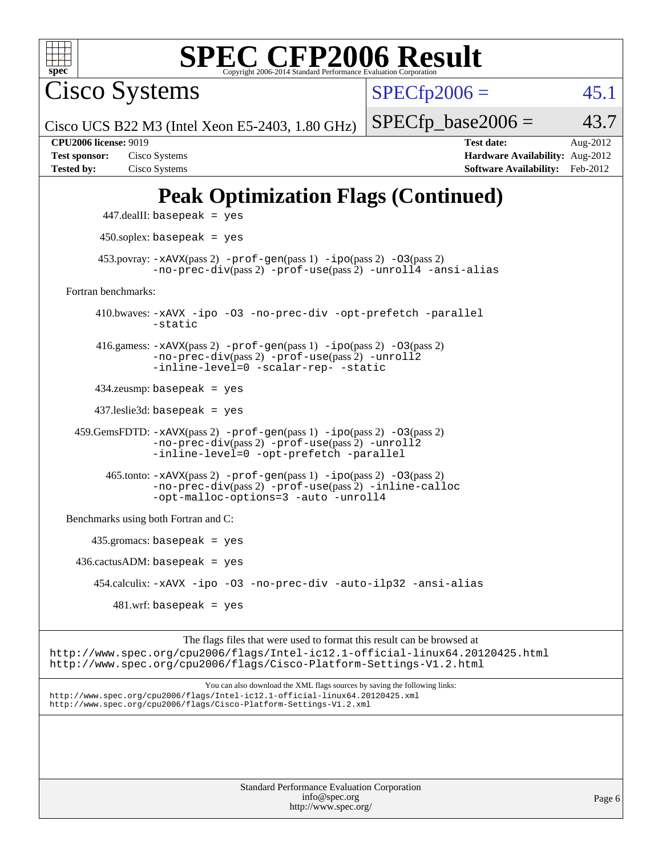

Cisco Systems

 $SPECfp2006 = 45.1$  $SPECfp2006 = 45.1$ 

Cisco UCS B22 M3 (Intel Xeon E5-2403, 1.80 GHz)

 $SPECTp\_base2006 = 43.7$ 

**[Tested by:](http://www.spec.org/auto/cpu2006/Docs/result-fields.html#Testedby)** Cisco Systems **[Software Availability:](http://www.spec.org/auto/cpu2006/Docs/result-fields.html#SoftwareAvailability)** Feb-2012

**[CPU2006 license:](http://www.spec.org/auto/cpu2006/Docs/result-fields.html#CPU2006license)** 9019 **[Test date:](http://www.spec.org/auto/cpu2006/Docs/result-fields.html#Testdate)** Aug-2012 **[Test sponsor:](http://www.spec.org/auto/cpu2006/Docs/result-fields.html#Testsponsor)** Cisco Systems **[Hardware Availability:](http://www.spec.org/auto/cpu2006/Docs/result-fields.html#HardwareAvailability)** Aug-2012

# **[Peak Optimization Flags \(Continued\)](http://www.spec.org/auto/cpu2006/Docs/result-fields.html#PeakOptimizationFlags)**

```
 447.dealII: basepeak = yes
       450.soplex: basepeak = yes
     453.povray: -xAVX(pass 2) -prof-gen(pass 1) -ipo(pass 2) -03(pass 2)
               -no-prec-div(pass 2) -prof-use(pass 2) -unroll4 -ansi-alias
Fortran benchmarks: 
      410.bwaves: -xAVX -ipo -O3 -no-prec-div -opt-prefetch -parallel
               -static
      416.gamess: -xAVX(pass 2) -prof-gen(pass 1) -ipo(pass 2) -O3(pass 2)
               -no-prec-div(pass 2) -prof-use(pass 2) -unroll2
               -inline-level=0 -scalar-rep- -static
      434.zeusmp: basepeak = yes
      437.leslie3d: basepeak = yes
  459.GemsFDTD: -xAVX(pass 2) -prof-gen(pass 1) -ipo(pass 2) -O3(pass 2)
               -no-prec-div(pass 2) -prof-use(pass 2) -unroll2
               -inline-level=0 -opt-prefetch -parallel
       465.tonto: -xAVX(pass 2) -prof-gen(pass 1) -po(pass 2) -03(pass 2)
               -no-prec-div(pass 2) -prof-use(pass 2) -inline-calloc
               -opt-malloc-options=3-auto-unroll4
Benchmarks using both Fortran and C: 
     435.gromacs: basepeak = yes
 436.cactusADM:basepeak = yes 454.calculix: -xAVX -ipo -O3 -no-prec-div -auto-ilp32 -ansi-alias
        481 \text{.m}: basepeak = yes
```
The flags files that were used to format this result can be browsed at <http://www.spec.org/cpu2006/flags/Intel-ic12.1-official-linux64.20120425.html> <http://www.spec.org/cpu2006/flags/Cisco-Platform-Settings-V1.2.html>

You can also download the XML flags sources by saving the following links: <http://www.spec.org/cpu2006/flags/Intel-ic12.1-official-linux64.20120425.xml> <http://www.spec.org/cpu2006/flags/Cisco-Platform-Settings-V1.2.xml>